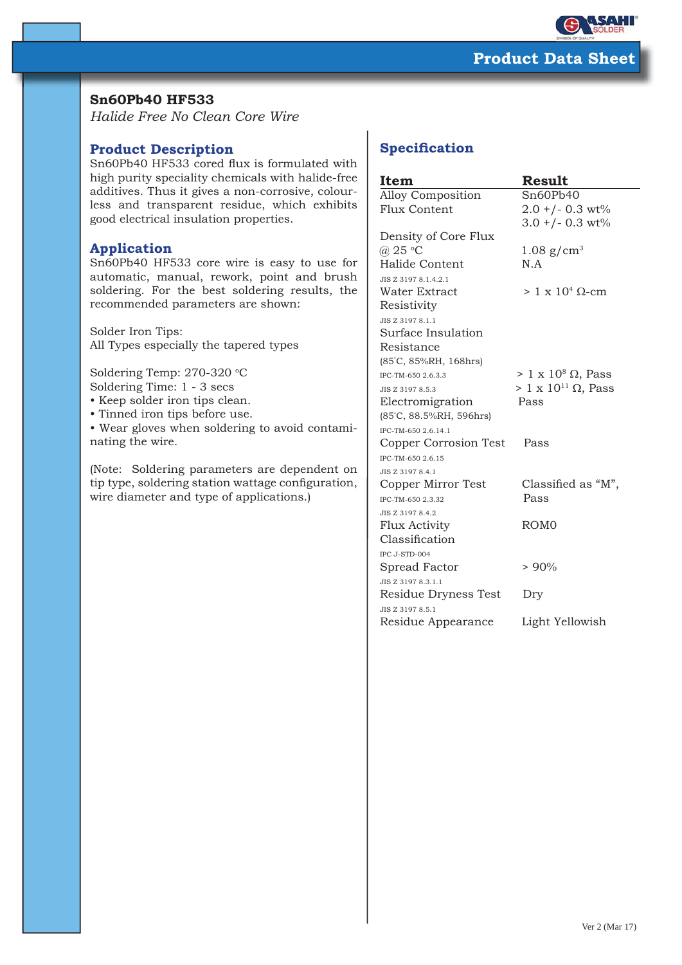

## **Sn60Pb40 HF533**

*Halide Free No Clean Core Wire*

## **Product Description**

Sn60Pb40 HF533 cored flux is formulated with high purity speciality chemicals with halide-free additives. Thus it gives a non-corrosive, colourless and transparent residue, which exhibits good electrical insulation properties.

## **Application**

Sn60Pb40 HF533 core wire is easy to use for automatic, manual, rework, point and brush soldering. For the best soldering results, the recommended parameters are shown:

Solder Iron Tips: All Types especially the tapered types

Soldering Temp: 270-320 °C Soldering Time: 1 - 3 secs

- Keep solder iron tips clean.
- Tinned iron tips before use.
- Wear gloves when soldering to avoid contaminating the wire.

(Note: Soldering parameters are dependent on tip type, soldering station wattage configuration, wire diameter and type of applications.)

# **Specification**

| Item                     | Result                          |
|--------------------------|---------------------------------|
| <b>Alloy Composition</b> | Sn60Pb40                        |
| <b>Flux Content</b>      | $2.0 + (-0.3 \text{ wt})$       |
|                          | $3.0 + (-0.3 \text{ wt})$       |
| Density of Core Flux     |                                 |
| @ 25 °C                  | $1.08$ g/cm <sup>3</sup>        |
| Halide Content           | N.A                             |
| JIS Z 3197 8.1.4.2.1     |                                 |
| <b>Water Extract</b>     | $> 1 \times 10^4$ Q-cm          |
| Resistivity              |                                 |
| JIS Z 3197 8.1.1         |                                 |
| Surface Insulation       |                                 |
| Resistance               |                                 |
| (85°C, 85%RH, 168hrs)    |                                 |
| IPC-TM-650 2.6.3.3       | $> 1 \times 10^8 \Omega$ , Pass |
| JIS Z 3197 8.5.3         | $> 1 \times 10^{11}$ Ω, Pass    |
| Electromigration         | Pass                            |
| (85°C, 88.5%RH, 596hrs)  |                                 |
| IPC-TM-650 2.6.14.1      |                                 |
| Copper Corrosion Test    | Pass                            |
| IPC-TM-650 2.6.15        |                                 |
| JIS Z 3197 8.4.1         |                                 |
| Copper Mirror Test       | Classified as "M",              |
| IPC-TM-650 2.3.32        | Pass                            |
| JIS Z 3197 8.4.2         |                                 |
| <b>Flux Activity</b>     | ROM <sub>0</sub>                |
| Classification           |                                 |
| IPC J-STD-004            |                                 |
| Spread Factor            | $> 90\%$                        |
| JIS Z 3197 8.3.1.1       |                                 |
| Residue Dryness Test     | Dry                             |
| JIS Z 3197 8.5.1         |                                 |
| Residue Appearance       | Light Yellowish                 |